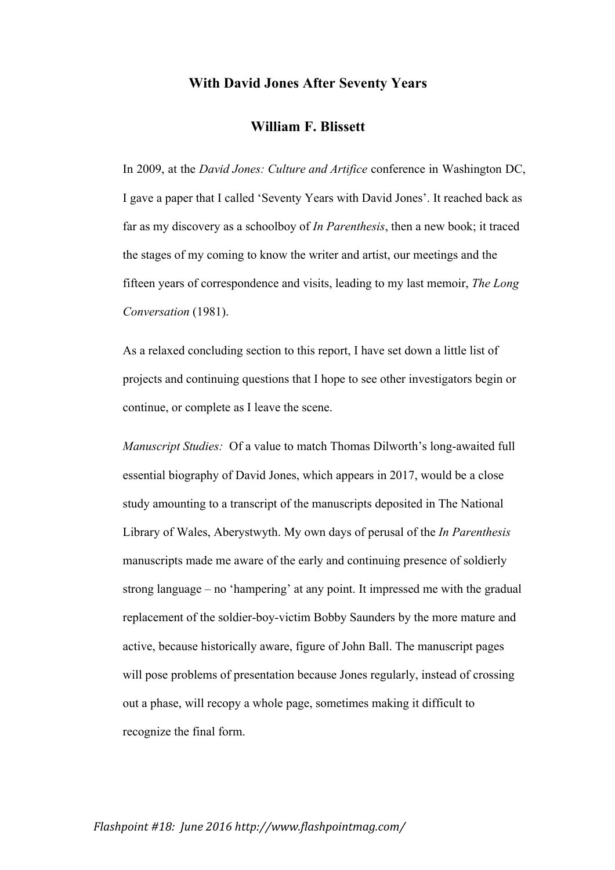## **With David Jones After Seventy Years**

# **William F. Blissett**

In 2009, at the *David Jones: Culture and Artifice* conference in Washington DC, I gave a paper that I called 'Seventy Years with David Jones'. It reached back as far as my discovery as a schoolboy of *In Parenthesis*, then a new book; it traced the stages of my coming to know the writer and artist, our meetings and the fifteen years of correspondence and visits, leading to my last memoir, *The Long Conversation* (1981).

As a relaxed concluding section to this report, I have set down a little list of projects and continuing questions that I hope to see other investigators begin or continue, or complete as I leave the scene.

*Manuscript Studies:* Of a value to match Thomas Dilworth's long-awaited full essential biography of David Jones, which appears in 2017, would be a close study amounting to a transcript of the manuscripts deposited in The National Library of Wales, Aberystwyth. My own days of perusal of the *In Parenthesis* manuscripts made me aware of the early and continuing presence of soldierly strong language – no 'hampering' at any point. It impressed me with the gradual replacement of the soldier-boy-victim Bobby Saunders by the more mature and active, because historically aware, figure of John Ball. The manuscript pages will pose problems of presentation because Jones regularly, instead of crossing out a phase, will recopy a whole page, sometimes making it difficult to recognize the final form.

### *Flashpoint #18: June 2016 http://www.flashpointmag.com/*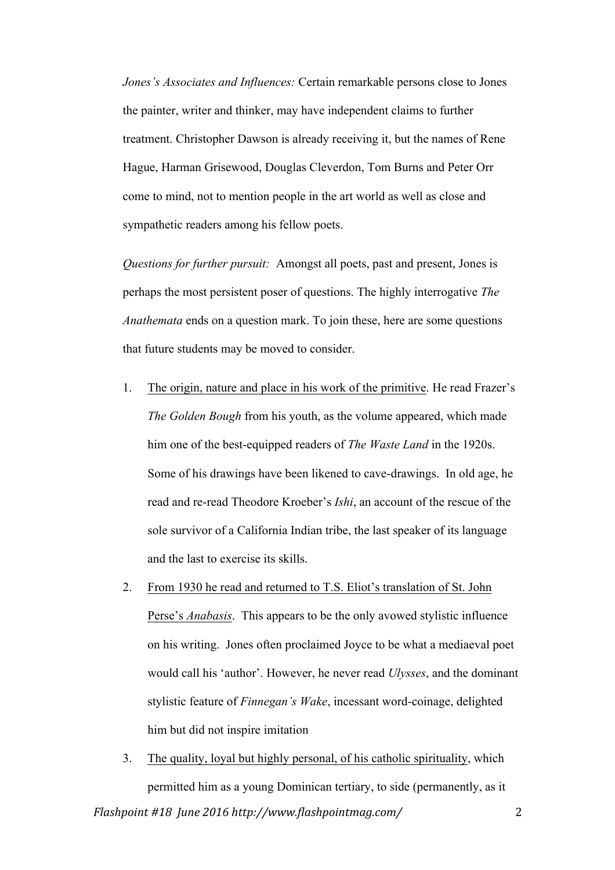*Jones's Associates and Influences:* Certain remarkable persons close to Jones the painter, writer and thinker, may have independent claims to further treatment. Christopher Dawson is already receiving it, but the names of Rene Hague, Harman Grisewood, Douglas Cleverdon, Tom Burns and Peter Orr come to mind, not to mention people in the art world as well as close and sympathetic readers among his fellow poets.

*Questions for further pursuit:* Amongst all poets, past and present, Jones is perhaps the most persistent poser of questions. The highly interrogative *The Anathemata* ends on a question mark. To join these, here are some questions that future students may be moved to consider.

- 1. The origin, nature and place in his work of the primitive. He read Frazer's *The Golden Bough* from his youth, as the volume appeared, which made him one of the best-equipped readers of *The Waste Land* in the 1920s. Some of his drawings have been likened to cave-drawings. In old age, he read and re-read Theodore Kroeber's *Ishi*, an account of the rescue of the sole survivor of a California Indian tribe, the last speaker of its language and the last to exercise its skills.
- 2. From 1930 he read and returned to T.S. Eliot's translation of St. John Perse's *Anabasis*. This appears to be the only avowed stylistic influence on his writing. Jones often proclaimed Joyce to be what a mediaeval poet would call his 'author'. However, he never read *Ulysses*, and the dominant stylistic feature of *Finnegan's Wake*, incessant word-coinage, delighted him but did not inspire imitation
- *Flashpoint #18 June 2016 http://www.flashpointmag.com/* 2 3. The quality, loyal but highly personal, of his catholic spirituality, which permitted him as a young Dominican tertiary, to side (permanently, as it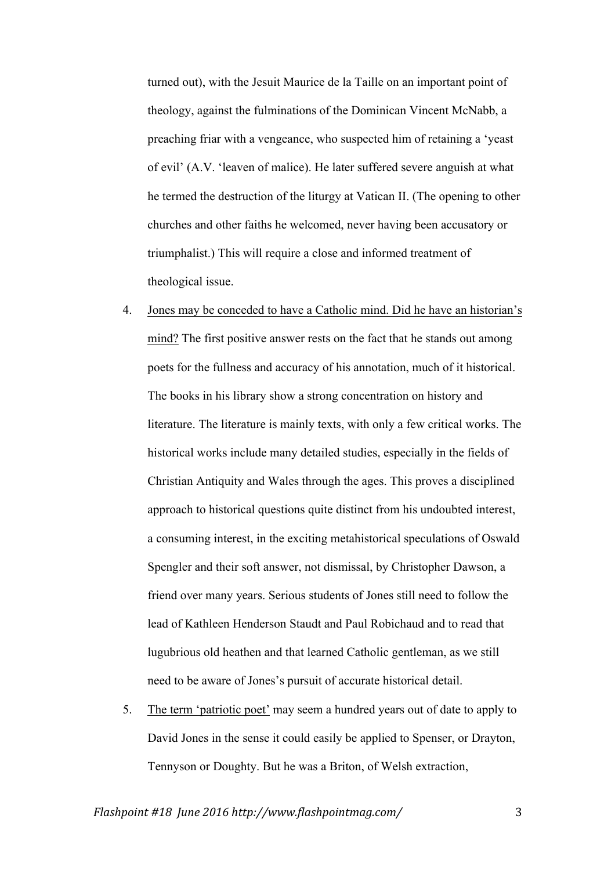turned out), with the Jesuit Maurice de la Taille on an important point of theology, against the fulminations of the Dominican Vincent McNabb, a preaching friar with a vengeance, who suspected him of retaining a 'yeast of evil' (A.V. 'leaven of malice). He later suffered severe anguish at what he termed the destruction of the liturgy at Vatican II. (The opening to other churches and other faiths he welcomed, never having been accusatory or triumphalist.) This will require a close and informed treatment of theological issue.

- 4. Jones may be conceded to have a Catholic mind. Did he have an historian's mind? The first positive answer rests on the fact that he stands out among poets for the fullness and accuracy of his annotation, much of it historical. The books in his library show a strong concentration on history and literature. The literature is mainly texts, with only a few critical works. The historical works include many detailed studies, especially in the fields of Christian Antiquity and Wales through the ages. This proves a disciplined approach to historical questions quite distinct from his undoubted interest, a consuming interest, in the exciting metahistorical speculations of Oswald Spengler and their soft answer, not dismissal, by Christopher Dawson, a friend over many years. Serious students of Jones still need to follow the lead of Kathleen Henderson Staudt and Paul Robichaud and to read that lugubrious old heathen and that learned Catholic gentleman, as we still need to be aware of Jones's pursuit of accurate historical detail.
- 5. The term 'patriotic poet' may seem a hundred years out of date to apply to David Jones in the sense it could easily be applied to Spenser, or Drayton, Tennyson or Doughty. But he was a Briton, of Welsh extraction,

*Flashpoint #18 June 2016 http://www.flashpointmag.com/* 3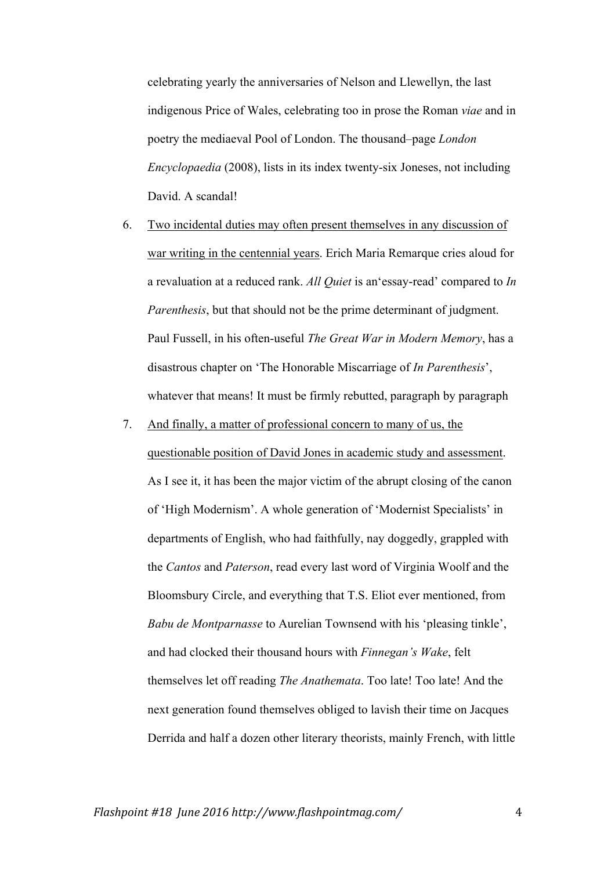celebrating yearly the anniversaries of Nelson and Llewellyn, the last indigenous Price of Wales, celebrating too in prose the Roman *viae* and in poetry the mediaeval Pool of London. The thousand–page *London Encyclopaedia* (2008), lists in its index twenty-six Joneses, not including David. A scandal!

- 6. Two incidental duties may often present themselves in any discussion of war writing in the centennial years. Erich Maria Remarque cries aloud for a revaluation at a reduced rank. *All Quiet* is an'essay-read' compared to *In Parenthesis*, but that should not be the prime determinant of judgment. Paul Fussell, in his often-useful *The Great War in Modern Memory*, has a disastrous chapter on 'The Honorable Miscarriage of *In Parenthesis*', whatever that means! It must be firmly rebutted, paragraph by paragraph
- 7. And finally, a matter of professional concern to many of us, the questionable position of David Jones in academic study and assessment. As I see it, it has been the major victim of the abrupt closing of the canon of 'High Modernism'. A whole generation of 'Modernist Specialists' in departments of English, who had faithfully, nay doggedly, grappled with the *Cantos* and *Paterson*, read every last word of Virginia Woolf and the Bloomsbury Circle, and everything that T.S. Eliot ever mentioned, from *Babu de Montparnasse* to Aurelian Townsend with his 'pleasing tinkle', and had clocked their thousand hours with *Finnegan's Wake*, felt themselves let off reading *The Anathemata*. Too late! Too late! And the next generation found themselves obliged to lavish their time on Jacques Derrida and half a dozen other literary theorists, mainly French, with little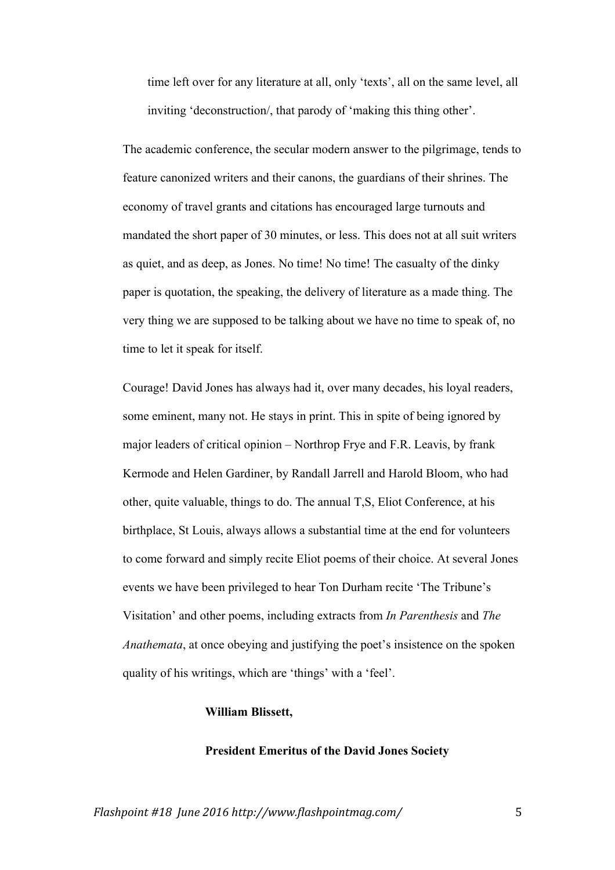time left over for any literature at all, only 'texts', all on the same level, all inviting 'deconstruction/, that parody of 'making this thing other'.

The academic conference, the secular modern answer to the pilgrimage, tends to feature canonized writers and their canons, the guardians of their shrines. The economy of travel grants and citations has encouraged large turnouts and mandated the short paper of 30 minutes, or less. This does not at all suit writers as quiet, and as deep, as Jones. No time! No time! The casualty of the dinky paper is quotation, the speaking, the delivery of literature as a made thing. The very thing we are supposed to be talking about we have no time to speak of, no time to let it speak for itself.

Courage! David Jones has always had it, over many decades, his loyal readers, some eminent, many not. He stays in print. This in spite of being ignored by major leaders of critical opinion – Northrop Frye and F.R. Leavis, by frank Kermode and Helen Gardiner, by Randall Jarrell and Harold Bloom, who had other, quite valuable, things to do. The annual T,S, Eliot Conference, at his birthplace, St Louis, always allows a substantial time at the end for volunteers to come forward and simply recite Eliot poems of their choice. At several Jones events we have been privileged to hear Ton Durham recite 'The Tribune's Visitation' and other poems, including extracts from *In Parenthesis* and *The Anathemata*, at once obeying and justifying the poet's insistence on the spoken quality of his writings, which are 'things' with a 'feel'.

### **William Blissett,**

### **President Emeritus of the David Jones Society**

*Flashpoint #18 June 2016 http://www.flashpointmag.com/* 5